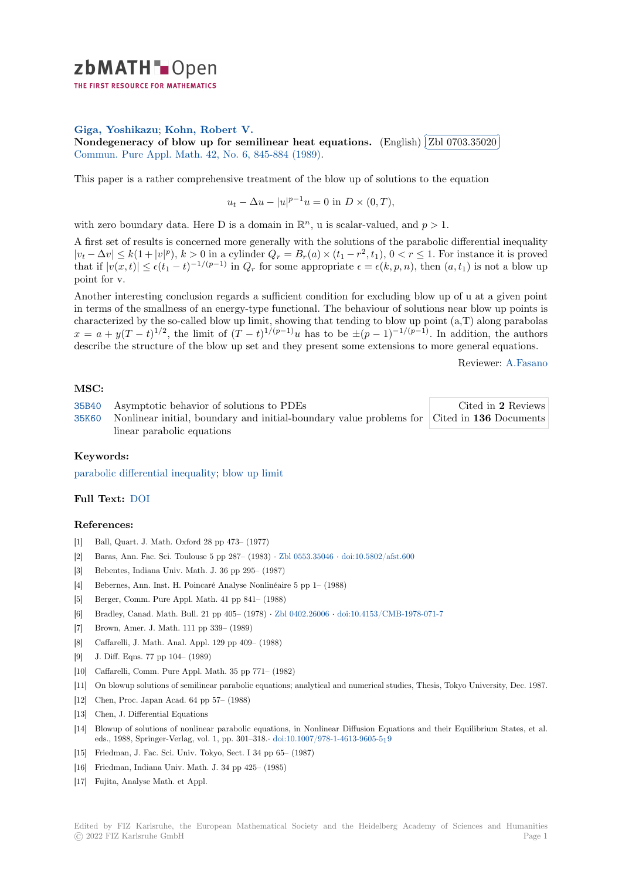

THE FIRST RESOURCE FOR MATHEMATICS

# **Giga, Yoshikazu**; **Kohn, Robert V.**

**[N](https://zbmath.org/)ondegeneracy of blow up for semilinear heat equations.** (English) ✂ Zbl 0703.35020 Commun. Pure Appl. Math. 42, No. 6, 845-884 (1989).

[This paper is a rat](https://zbmath.org/authors/?q=ai:giga.yoshikazu)[her comprehensive tr](https://zbmath.org/authors/?q=ai:kohn.robert-v)eatment of the blow up of solutions to the equation

 $u_t - \Delta u - |u|^{p-1}u = 0$  $u_t - \Delta u - |u|^{p-1}u = 0$  in  $D \times (0, T)$ ,

with zero boundary data. Here D is a domain in  $\mathbb{R}^n$ , u is scalar-valued, and  $p > 1$ .

A first set of results is concerned more generally with the solutions of the parabolic differential inequality  $|v_t - \Delta v| \le k(1+|v|^p), k > 0$  in a cylinder  $Q_r = B_r(a) \times (t_1 - r^2, t_1), 0 < r \le 1$ . For instance it is proved that if  $|v(x,t)| \leq \epsilon (t_1-t)^{-1/(p-1)}$  in  $Q_r$  for some appropriate  $\epsilon = \epsilon (k, p, n)$ , then  $(a, t_1)$  is not a blow up point for v.

Another interesting conclusion regards a sufficient condition for excluding blow up of u at a given point in terms of the smallness of an energy-type functional. The behaviour of solutions near blow up points is characterized by the so-called blow up limit, showing that tending to blow up point (a,T) along parabolas  $x = a + y(T - t)^{1/2}$ , the limit of  $(T - t)^{1/(p-1)}u$  has to be  $\pm (p-1)^{-1/(p-1)}$ . In addition, the authors describe the structure of the blow up set and they present some extensions to more general equations.

Reviewer: A.Fasano

Ĭ. Į.

# **MSC:**

| 35B40 Asymptotic behavior of solutions to PDEs                                                   | Cited in 2 Reviews |
|--------------------------------------------------------------------------------------------------|--------------------|
| 35K60 Nonlinear initial, boundary and initial-boundary value problems for Cited in 136 Documents |                    |
| linear parabolic equations                                                                       |                    |

# **[Keyw](https://zbmath.org/classification/?q=cc:35B40)ords:**

[parabo](https://zbmath.org/classification/?q=cc:35K60)lic differential inequality; blow up limit

# **Full Text:** DOI

#### **[References:](https://zbmath.org/?q=ut:parabolic+differential+inequality)**

- [1] Ball, Quart. J. Math. Oxford 28 pp 473– (1977)
- [2] Baras, A[nn. Fa](https://dx.doi.org/10.1002/cpa.3160420607)c. Sci. Toulouse 5 pp 287– (1983) *·* Zbl 0553.35046 *·* doi:10.5802/afst.600
- [3] Bebentes, Indiana Univ. Math. J. 36 pp 295– (1987)
- [4] Bebernes, Ann. Inst. H. Poincaré Analyse Nonlinéaire 5 pp 1– (1988)
- [5] Berger, Comm. Pure Appl. Math. 41 pp 841– (1988)
- [6] Bradley, Canad. Math. Bull. 21 pp 405– (1978) *·* [Zbl 0402.26006](https://zbmath.org/0553.35046) *·* [doi:10.4153/CMB-197](https://dx.doi.org/10.5802/afst.600)8-071-7
- [7] Brown, Amer. J. Math. 111 pp 339– (1989)
- [8] Caffarelli, J. Math. Anal. Appl. 129 pp 409– (1988)
- [9] J. Diff. Eqns. 77 pp 104– (1989)
- [10] Caffarelli, Comm. Pure Appl. Math. 35 pp 771– [\(1982\)](https://zbmath.org/0402.26006)
- [11] On blowup solutions of semilinear parabolic equations; analytical and numerical studies, Thesis, Tokyo University, Dec. 1987.
- [12] Chen, Proc. Japan Acad. 64 pp 57– (1988)
- [13] Chen, J. Differential Equations
- [14] Blowup of solutions of nonlinear parabolic equations, in Nonlinear Diffusion Equations and their Equilibrium States, et al. eds., 1988, Springer-Verlag, vol. 1, pp. 301–318.*·* doi:10.1007/978-1-4613-9605-519
- [15] Friedman, J. Fac. Sci. Univ. Tokyo, Sect. I 34 pp 65– (1987)
- [16] Friedman, Indiana Univ. Math. J. 34 pp 425– (1985)
- [17] Fujita, Analyse Math. et Appl.